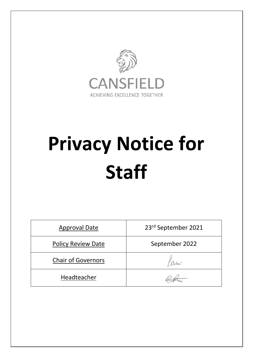

# **Privacy Notice for Staff**

| <b>Approval Date</b>      | 23rd September 2021 |
|---------------------------|---------------------|
| <b>Policy Review Date</b> | September 2022      |
| <b>Chair of Governors</b> |                     |
| Headteacher               |                     |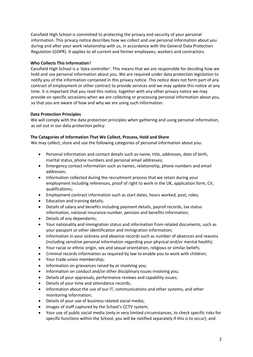Cansfield High School is committed to protecting the privacy and security of your personal information. This privacy notice describes how we collect and use personal information about you during and after your work relationship with us, in accordance with the General Data Protection Regulation (GDPR). It applies to all current and former employees, workers and contractors.

## **Who Collects This Information**?

Cansfield High School is a 'data controller'. This means that we are responsible for deciding how we hold and use personal information about you. We are required under data protection legislation to notify you of the information contained in this privacy notice. This notice does not form part of any contract of employment or other contract to provide services and we may update this notice at any time. It is important that you read this notice, together with any other privacy notice we may provide on specific occasions when we are collecting or processing personal information about you, so that you are aware of how and why we are using such information.

# **Data Protection Principles**

We will comply with the data protection principles when gathering and using personal information, as set out in our data protection policy.

# **The Categories of Information That We Collect, Process, Hold and Share**

We may collect, store and use the following categories of personal information about you:

- Personal information and contact details such as name, title, addresses, date of birth, marital status, phone numbers and personal email addresses;
- Emergency contact information such as names, relationship, phone numbers and email addresses;
- Information collected during the recruitment process that we retain during your employment including references, proof of right to work in the UK, application form, CV, qualifications;
- Employment contract information such as start dates, hours worked, post, roles;
- Education and training details;
- Details of salary and benefits including payment details, payroll records, tax status information, national insurance number, pension and benefits information;
- Details of any dependants;
- Your nationality and immigration status and information from related documents, such as your passport or other identification and immigration information;
- Information in your sickness and absence records such as number of absences and reasons (including sensitive personal information regarding your physical and/or mental health);
- Your racial or ethnic origin, sex and sexual orientation, religious or similar beliefs;
- Criminal records information as required by law to enable you to work with children;
- Your trade union membership;
- Information on grievances raised by or involving you;
- Information on conduct and/or other disciplinary issues involving you;
- Details of your appraisals, performance reviews and capability issues;
- Details of your time and attendance records;
- Information about the use of our IT, communications and other systems, and other monitoring information;
- Details of your use of business-related social media;
- Images of staff captured by the School's CCTV system;
- Your use of public social media (only in very limited circumstances, to check specific risks for specific functions within the School, you will be notified separately if this is to occur); and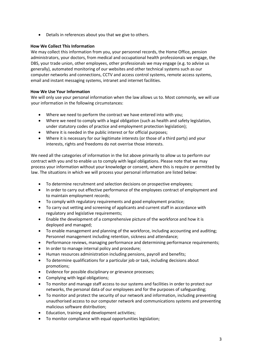• Details in references about you that we give to others.

## **How We Collect This Information**

We may collect this information from you, your personnel records, the Home Office, pension administrators, your doctors, from medical and occupational health professionals we engage, the DBS, your trade union, other employees, other professionals we may engage (e.g. to advise us generally), automated monitoring of our websites and other technical systems such as our computer networks and connections, CCTV and access control systems, remote access systems, email and instant messaging systems, intranet and internet facilities.

# **How We Use Your Information**

We will only use your personal information when the law allows us to. Most commonly, we will use your information in the following circumstances:

- Where we need to perform the contract we have entered into with you;
- Where we need to comply with a legal obligation (such as health and safety legislation, under statutory codes of practice and employment protection legislation);
- Where it is needed in the public interest or for official purposes;
- Where it is necessary for our legitimate interests (or those of a third party) and your interests, rights and freedoms do not overrise those interests.

We need all the categories of information in the list above primarily to allow us to perform our contract with you and to enable us to comply with legal obligations. Please note that we may process your information without your knowledge or consent, where this is require or permitted by law. The situations in which we will process your personal information are listed below:

- To determine recruitment and selection decisions on prospective employees;
- In order to carry out effective performance of the employees contract of employment and to maintain employment records;
- To comply with regulatory requirements and good employment practice;
- To carry out vetting and screening of applicants and current staff in accordance with regulatory and legislative requirements;
- Enable the development of a comprehensive picture of the workforce and how it is deployed and managed;
- To enable management and planning of the workforce, including accounting and auditing; Personnel management including retention, sickness and attendance;
- Performance reviews, managing performance and determining performance requirements;
- In order to manage internal policy and procedure;
- Human resources administration including pensions, payroll and benefits;
- To determine qualifications for a particular job or task, including decisions about promotions;
- Evidence for possible disciplinary or grievance processes;
- Complying with legal obligations;
- To monitor and manage staff access to our systems and facilities in order to protect our networks, the personal data of our employees and for the purposes of safeguarding;
- To monitor and protect the security of our network and information, including preventing unauthorised access to our computer network and communications systems and preventing malicious software distribution;
- Education, training and development activities;
- To monitor compliance with equal opportunities legislation;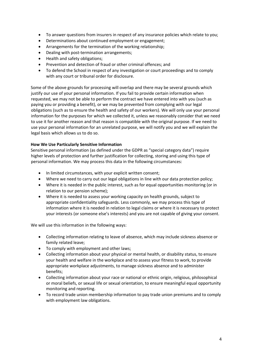- To answer questions from insurers in respect of any insurance policies which relate to you;
- Determinations about continued employment or engagement;
- Arrangements for the termination of the working relationship;
- Dealing with post-termination arrangements;
- Health and safety obligations;
- Prevention and detection of fraud or other criminal offences; and
- To defend the School in respect of any investigation or court proceedings and to comply with any court or tribunal order for disclosure.

Some of the above grounds for processing will overlap and there may be several grounds which justify our use of your personal information. If you fail to provide certain information when requested, we may not be able to perform the contract we have entered into with you (such as paying you or providing a benefit), or we may be prevented from complying with our legal obligations (such as to ensure the health and safety of our workers). We will only use your personal information for the purposes for which we collected it, unless we reasonably consider that we need to use it for another reason and that reason is compatible with the original purpose. If we need to use your personal information for an unrelated purpose, we will notify you and we will explain the legal basis which allows us to do so.

#### **How We Use Particularly Sensitive Information**

Sensitive personal information (as defined under the GDPR as "special category data") require higher levels of protection and further justification for collecting, storing and using this type of personal information. We may process this data in the following circumstances:

- In limited circumstances, with your explicit written consent;
- Where we need to carry out our legal obligations in line with our data protection policy;
- Where it is needed in the public interest, such as for equal opportunities monitoring (or in relation to our pension scheme);
- Where it is needed to assess your working capacity on health grounds, subject to appropriate confidentiality safeguards. Less commonly, we may process this type of information where it is needed in relation to legal claims or where it is necessary to protect your interests (or someone else's interests) and you are not capable of giving your consent.

We will use this information in the following ways:

- Collecting information relating to leave of absence, which may include sickness absence or family related leave;
- To comply with employment and other laws;
- Collecting information about your physical or mental health, or disability status, to ensure your health and welfare in the workplace and to assess your fitness to work, to provide appropriate workplace adjustments, to manage sickness absence and to administer benefits;
- Collecting information about your race or national or ethnic origin, religious, philosophical or moral beliefs, or sexual life or sexual orientation, to ensure meaningful equal opportunity monitoring and reporting.
- To record trade union membership information to pay trade union premiums and to comply with employment law obligations.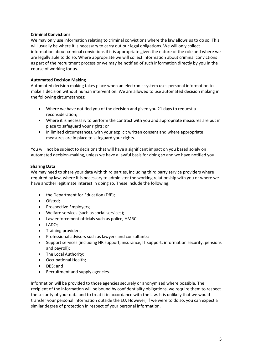## **Criminal Convictions**

We may only use information relating to criminal convictions where the law allows us to do so. This will usually be where it is necessary to carry out our legal obligations. We will only collect information about criminal convictions if it is appropriate given the nature of the role and where we are legally able to do so. Where appropriate we will collect information about criminal convictions as part of the recruitment process or we may be notified of such information directly by you in the course of working for us.

## **Automated Decision Making**

Automated decision making takes place when an electronic system uses personal information to make a decision without human intervention. We are allowed to use automated decision making in the following circumstances:

- Where we have notified you of the decision and given you 21 days to request a reconsideration;
- Where it is necessary to perform the contract with you and appropriate measures are put in place to safeguard your rights; or
- In limited circumstances, with your explicit written consent and where appropriate measures are in place to safeguard your rights.

You will not be subject to decisions that will have a significant impact on you based solely on automated decision-making, unless we have a lawful basis for doing so and we have notified you.

#### **Sharing Data**

We may need to share your data with third parties, including third party service providers where required by law, where it is necessary to administer the working relationship with you or where we have another legitimate interest in doing so. These include the following:

- the Department for Education (DfE);
- Ofsted;
- Prospective Employers:
- Welfare services (such as social services);
- Law enforcement officials such as police, HMRC;
- LADO;
- Training providers;
- Professional advisors such as lawyers and consultants;
- Support services (including HR support, insurance, IT support, information security, pensions and payroll);
- The Local Authority;
- Occupational Health;
- DBS; and
- Recruitment and supply agencies.

Information will be provided to those agencies securely or anonymised where possible. The recipient of the information will be bound by confidentiality obligations, we require them to respect the security of your data and to treat it in accordance with the law. It is unlikely that we would transfer your personal information outside the EU. However, if we were to do so, you can expect a similar degree of protection in respect of your personal information.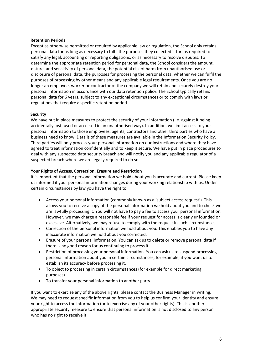## **Retention Periods**

Except as otherwise permitted or required by applicable law or regulation, the School only retains personal data for as long as necessary to fulfil the purposes they collected it for, as required to satisfy any legal, accounting or reporting obligations, or as necessary to resolve disputes. To determine the appropriate retention period for personal data, the School considers the amount, nature, and sensitivity of personal data, the potential risk of harm from unauthorised use or disclosure of personal data, the purposes for processing the personal data, whether we can fulfil the purposes of processing by other means and any applicable legal requirements. Once you are no longer an employee, worker or contractor of the company we will retain and securely destroy your personal information in accordance with our data retention policy. The School typically retains personal data for 6 years, subject to any exceptional circumstances or to comply with laws or regulations that require a specific retention period.

## **Security**

We have put in place measures to protect the security of your information (i.e. against it being accidentally lost, used or accessed in an unauthorised way). In addition, we limit access to your personal information to those employees, agents, contractors and other third parties who have a business need to know. Details of these measures are available in the Information Security Policy. Third parties will only process your personal information on our instructions and where they have agreed to treat information confidentially and to keep it secure. We have put in place procedures to deal with any suspected data security breach and will notify you and any applicable regulator of a suspected breach where we are legally required to do so.

## **Your Rights of Access, Correction, Erasure and Restriction**

It is important that the personal information we hold about you is accurate and current. Please keep us informed if your personal information changes during your working relationship with us. Under certain circumstances by law you have the right to:

- Access your personal information (commonly known as a 'subject access request'). This allows you to receive a copy of the personal information we hold about you and to check we are lawfully processing it. You will not have to pay a fee to access your personal information. However, we may charge a reasonable fee if your request for access is clearly unfounded or excessive. Alternatively, we may refuse to comply with the request in such circumstances.
- Correction of the personal information we hold about you. This enables you to have any inaccurate information we hold about you corrected.
- Erasure of your personal information. You can ask us to delete or remove personal data if there is no good reason for us continuing to process it.
- Restriction of processing your personal information. You can ask us to suspend processing personal information about you in certain circumstances, for example, if you want us to establish its accuracy before processing it.
- To object to processing in certain circumstances (for example for direct marketing purposes).
- To transfer your personal information to another party.

If you want to exercise any of the above rights, please contact the Business Manager in writing. We may need to request specific information from you to help us confirm your identity and ensure your right to access the information (or to exercise any of your other rights). This is another appropriate security measure to ensure that personal information is not disclosed to any person who has no right to receive it.